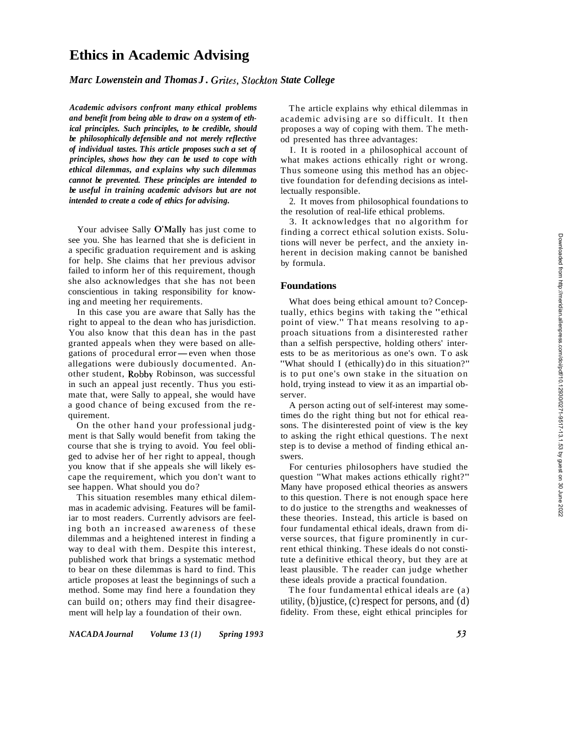# **Ethics in Academic Advising**

# *Marc Lowenstein and Thomas J. Gn'tes, Stockton State College*

*Academic advisors confront many ethical problems and benefit from being able to draw on a system of ethical principles. Such principles, to be credible, should be philosophically defensible and not merely reflective of individual tastes. This article proposes such a set of principles, shows how they can be used to cope with ethical dilemmas, and explains why such dilemmas cannot be prevented. These principles are intended to be useful in training academic advisors but are not intended to create a code of ethics for advising.* 

Your advisee Sally O'Mally has just come to see you. She has learned that she is deficient in a specific graduation requirement and is asking for help. She claims that her previous advisor failed to inform her of this requirement, though she also acknowledges that she has not been conscientious in taking responsibility for knowing and meeting her requirements.

In this case you are aware that Sally has the right to appeal to the dean who has jurisdiction. You also know that this dean has in the past granted appeals when they were based on allegations of procedural error-even when those allegations were dubiously documented. Another student, Robby Robinson, was successful in such an appeal just recently. Thus you estimate that, were Sally to appeal, she would have a good chance of being excused from the requirement.

On the other hand your professional judgment is that Sally would benefit from taking the course that she is trying to avoid. You feel obliged to advise her of her right to appeal, though you know that if she appeals she will likely escape the requirement, which you don't want to see happen. What should you do?

This situation resembles many ethical dilemmas in academic advising. Features will be familiar to most readers. Currently advisors are feeling both an increased awareness of these dilemmas and a heightened interest in finding a way to deal with them. Despite this interest, published work that brings a systematic method to bear on these dilemmas is hard to find. This article proposes at least the beginnings of such a method. Some may find here a foundation they can build on; others may find their disagreement will help lay a foundation of their own.

The article explains why ethical dilemmas in academic advising are so difficult. It then proposes a way of coping with them. The method presented has three advantages:

I. It is rooted in a philosophical account of what makes actions ethically right or wrong. Thus someone using this method has an objective foundation for defending decisions as intellectually responsible.

2. It moves from philosophical foundations to the resolution of real-life ethical problems.

3. It acknowledges that no algorithm for finding a correct ethical solution exists. Solutions will never be perfect, and the anxiety inherent in decision making cannot be banished by formula.

# **Foundations**

What does being ethical amount to? Conceptually, ethics begins with taking the "ethical point of view." That means resolving to approach situations from a disinterested rather than a selfish perspective, holding others' interests to be as meritorious as one's own. To ask "What should I (ethically) do in this situation?" is to put one's own stake in the situation on hold, trying instead to view it as an impartial observer.

A person acting out of self-interest may sometimes do the right thing but not for ethical reasons. The disinterested point of view is the key to asking the right ethical questions. The next step is to devise a method of finding ethical answers.

For centuries philosophers have studied the question "What makes actions ethically right?" Many have proposed ethical theories as answers to this question. There is not enough space here to do justice to the strengths and weaknesses of these theories. Instead, this article is based on four fundamental ethical ideals, drawn from diverse sources, that figure prominently in current ethical thinking. These ideals do not constitute a definitive ethical theory, but they are at least plausible. The reader can judge whether these ideals provide a practical foundation.

The four fundamental ethical ideals are (a) utility, (b) justice, (c) respect for persons, and (d) fidelity. From these, eight ethical principles for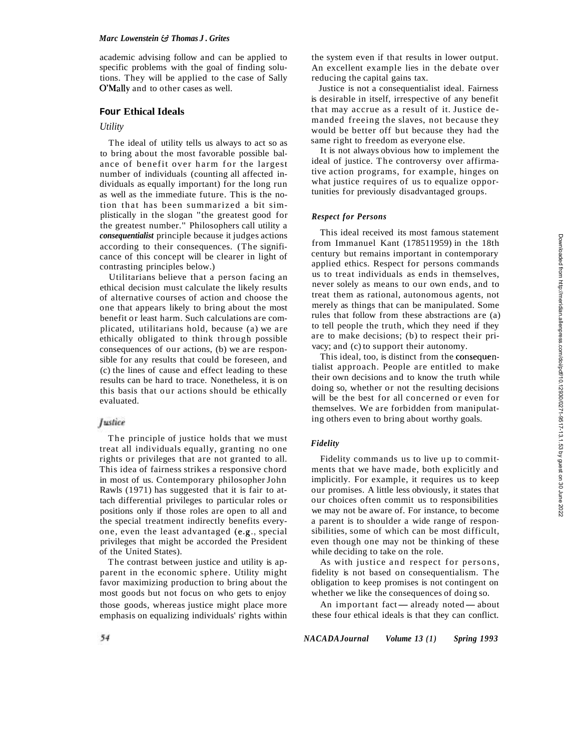academic advising follow and can be applied to specific problems with the goal of finding solutions. They will be applied to the case of Sally O'Mally and to other cases as well.

# **Four Ethical Ideals**

### *Utility*

The ideal of utility tells us always to act so as to bring about the most favorable possible balance of benefit over harm for the largest number of individuals (counting all affected individuals as equally important) for the long run as well as the immediate future. This is the notion that has been summarized a bit simplistically in the slogan "the greatest good for the greatest number." Philosophers call utility a *consequentialist* principle because it judges actions according to their consequences. (The significance of this concept will be clearer in light of contrasting principles below.)

Utilitarians believe that a person facing an ethical decision must calculate the likely results of alternative courses of action and choose the one that appears likely to bring about the most benefit or least harm. Such calculations are complicated, utilitarians hold, because (a) we are ethically obligated to think through possible consequences of our actions, (b) we are responsible for any results that could be foreseen, and (c) the lines of cause and effect leading to these results can be hard to trace. Nonetheless, it is on this basis that our actions should be ethically evaluated.

### Justice

The principle of justice holds that we must treat all individuals equally, granting no one rights or privileges that are not granted to all. This idea of fairness strikes a responsive chord in most of us. Contemporary philosopher John Rawls (1971) has suggested that it is fair to attach differential privileges to particular roles or positions only if those roles are open to all and the special treatment indirectly benefits everyone, even the least advantaged (e.g., special privileges that might be accorded the President of the United States).

The contrast between justice and utility is apparent in the economic sphere. Utility might favor maximizing production to bring about the most goods but not focus on who gets to enjoy those goods, whereas justice might place more emphasis on equalizing individuals' rights within

the system even if that results in lower output. An excellent example lies in the debate over reducing the capital gains tax.

Justice is not a consequentialist ideal. Fairness is desirable in itself, irrespective of any benefit that may accrue as a result of it. Justice demanded freeing the slaves, not because they would be better off but because they had the same right to freedom as everyone else.

It is not always obvious how to implement the ideal of justice. The controversy over affirmative action programs, for example, hinges on what justice requires of us to equalize opportunities for previously disadvantaged groups.

### *Respect for Persons*

This ideal received its most famous statement from Immanuel Kant (178511959) in the 18th century but remains important in contemporary applied ethics. Respect for persons commands us to treat individuals as ends in themselves, never solely as means to our own ends, and to treat them as rational, autonomous agents, not merely as things that can be manipulated. Some rules that follow from these abstractions are (a) to tell people the truth, which they need if they are to make decisions; (b) to respect their privacy; and (c) to support their autonomy.

This ideal, too, is distinct from the consequentialist approach. People are entitled to make their own decisions and to know the truth while doing so, whether or not the resulting decisions will be the best for all concerned or even for themselves. We are forbidden from manipulating others even to bring about worthy goals.

### *Fidelity*

Fidelity commands us to live up to commitments that we have made, both explicitly and implicitly. For example, it requires us to keep our promises. A little less obviously, it states that our choices often commit us to responsibilities we may not be aware of. For instance, to become a parent is to shoulder a wide range of responsibilities, some of which can be most difficult, even though one may not be thinking of these while deciding to take on the role.

As with justice and respect for persons, fidelity is not based on consequentialism. The obligation to keep promises is not contingent on whether we like the consequences of doing so.

An important fact—already noted—about these four ethical ideals is that they can conflict.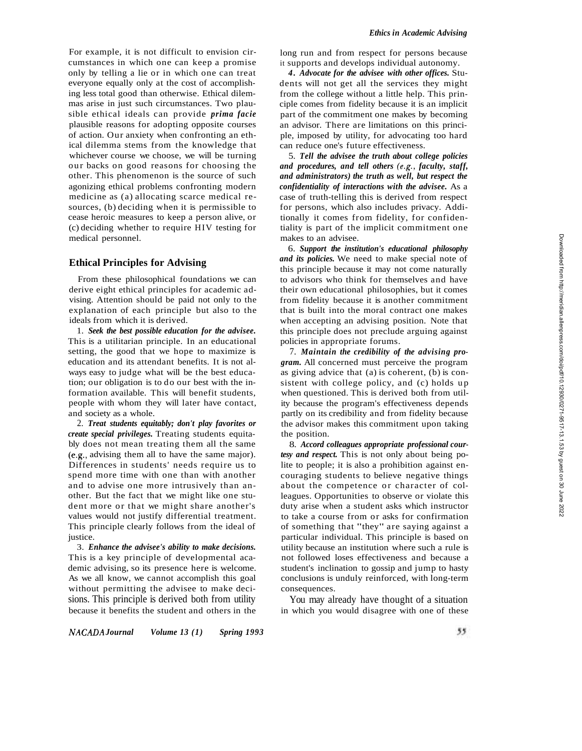For example, it is not difficult to envision circumstances in which one can keep a promise only by telling a lie or in which one can treat everyone equally only at the cost of accomplishing less total good than otherwise. Ethical dilemmas arise in just such circumstances. Two plausible ethical ideals can provide *prima facie*  plausible reasons for adopting opposite courses of action. Our anxiety when confronting an ethical dilemma stems from the knowledge that whichever course we choose, we will be turning our backs on good reasons for choosing the other. This phenomenon is the source of such agonizing ethical problems confronting modern medicine as (a) allocating scarce medical resources, (b) deciding when it is permissible to cease heroic measures to keep a person alive, or (c) deciding whether to require HIV testing for medical personnel.

# **Ethical Principles for Advising**

From these philosophical foundations we can derive eight ethical principles for academic advising. Attention should be paid not only to the explanation of each principle but also to the ideals from which it is derived.

1. *Seek the best possible education for the advisee.*  This is a utilitarian principle. In an educational setting, the good that we hope to maximize is education and its attendant benefits. It is not always easy to judge what will be the best education; our obligation is to do our best with the information available. This will benefit students, people with whom they will later have contact, and society as a whole.

2. *Treat students equitably; don't play favorites or create special privileges.* Treating students equitably does not mean treating them all the same (e.g., advising them all to have the same major). Differences in students' needs require us to spend more time with one than with another and to advise one more intrusively than another. But the fact that we might like one student more or that we might share another's values would not justify differential treatment. This principle clearly follows from the ideal of justice.

3. *Enhance the advisee's ability to make decisions.*  This is a key principle of developmental academic advising, so its presence here is welcome. As we all know, we cannot accomplish this goal without permitting the advisee to make decisions. This principle is derived both from utility because it benefits the student and others in the long run and from respect for persons because it supports and develops individual autonomy.

*4. Advocate for the advisee with other offices.* Students will not get all the services they might from the college without a little help. This principle comes from fidelity because it is an implicit part of the commitment one makes by becoming an advisor. There are limitations on this principle, imposed by utility, for advocating too hard can reduce one's future effectiveness.

5. *Tell the advisee the truth about college policies and procedures, and tell others (e.g., faculty, staff, and administrators) the truth as well, but respect the confidentiality of interactions with the advisee.* As a case of truth -telling this is derived from respect for persons, which also includes privacy. Additionally it comes from fidelity, for confidentiality is part of the implicit commitment one makes to an advisee.

6. *Support the institution's educational philosophy and its policies.* We need to make special note of this principle because it may not come naturally to advisors who think for themselves and have their own educational philosophies, but it comes from fidelity because it is another commitment that is built into the moral contract one makes when accepting an advising position. Note that this principle does not preclude arguing against policies in appropriate forums.

7. *Maintain the credibility of the advising program.* All concerned must perceive the program as giving advice that (a) is coherent, (b) is consistent with college policy, and (c) holds up when questioned. This is derived both from utility because the program's effectiveness depends partly on its credibility and from fidelity because the advisor makes this commitment upon taking the position.

8. *Accord colleagues appropriate professional courtesy and respect.* This is not only about being polite to people; it is also a prohibition against encouraging students to believe negative things about the competence or character of colleagues. Opportunities to observe or violate this duty arise when a student asks which instructor to take a course from or asks for confirmation of something that "they" are saying against a particular individual. This principle is based on utility because an institution where such a rule is not followed loses effectiveness and because a student's inclination to gossip and jump to hasty conclusions is unduly reinforced, with long -term consequences.

You may already have thought of a situation in which you would disagree with one of these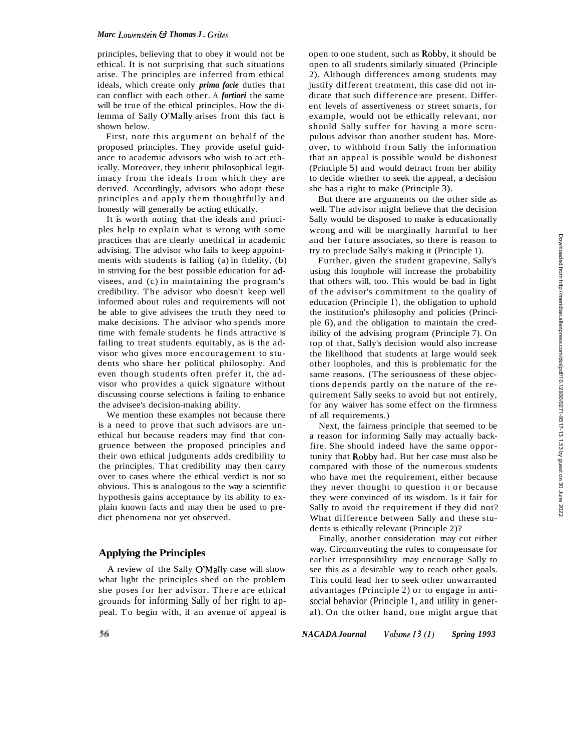### *Marc Lowenstein*  $G$  *Thomas J. Grites*

principles, believing that to obey it would not be ethical. It is not surprising that such situations arise. The principles are inferred from ethical ideals, which create only *prima facie* duties that can conflict with each other. A *fortiori* the same will be true of the ethical principles. How the dilemma of Sally O'Mally arises from this fact is shown below.

First, note this argument on behalf of the proposed principles. They provide useful guidance to academic advisors who wish to act ethically. Moreover, they inherit philosophical legitimacy from the ideals from which they are derived. Accordingly, advisors who adopt these principles and apply them thoughtfully and honestly will generally be acting ethically.

It is worth noting that the ideals and principles help to explain what is wrong with some practices that are clearly unethical in academic advising. The advisor who fails to keep appointments with students is failing (a) in fidelity, (b) in striving for the best possible education for advisees, and (c) in maintaining the program's credibility. The advisor who doesn't keep well informed about rules and requirements will not be able to give advisees the truth they need to make decisions. The advisor who spends more time with female students he finds attractive is failing to treat students equitably, as is the advisor who gives more encouragement to students who share her political philosophy. And even though students often prefer it, the advisor who provides a quick signature without discussing course selections is failing to enhance the advisee's decision-making ability.

We mention these examples not because there is a need to prove that such advisors are unethical but because readers may find that congruence between the proposed principles and their own ethical judgments adds credibility to the principles. That credibility may then carry over to cases where the ethical verdict is not so obvious. This is analogous to the way a scientific hypothesis gains acceptance by its ability to explain known facts and may then be used to predict phenomena not yet observed.

# **Applying the Principles**

A review of the Sally O'Mally case will show what light the principles shed on the problem she poses for her advisor. There are ethical grounds for informing Sally of her right to appeal. To begin with, if an avenue of appeal is open to one student, such as Robby, it should be open to all students similarly situated (Principle 2). Although differences among students may justify different treatment, this case did not indicate that such difference are present. Different levels of assertiveness or street smarts, for example, would not be ethically relevant, nor should Sally suffer for having a more scrupulous advisor than another student has. Moreover, to withhold from Sally the information that an appeal is possible would be dishonest (Principle 5) and would detract from her ability to decide whether to seek the appeal, a decision she has a right to make (Principle 3).

But there are arguments on the other side as well. The advisor might believe that the decision Sally would be disposed to make is educationally wrong and will be marginally harmful to her and her future associates, so there is reason to try to preclude Sally's making it (Principle 1).

Further, given the student grapevine, Sally's using this loophole will increase the probability that others will, too. This would be bad in light of the advisor's commitment to the quality of education (Principle l), the obligation to uphold the institution's philosophy and policies (Principle 6), and the obligation to maintain the credibility of the advising program (Principle 7). On top of that, Sally's decision would also increase the likelihood that students at large would seek other loopholes, and this is problematic for the same reasons. (The seriousness of these objections depends partly on the nature of the requirement Sally seeks to avoid but not entirely, for any waiver has some effect on the firmness of all requirements.)

Next, the fairness principle that seemed to be a reason for informing Sally may actually backfire. She should indeed have the same opportunity that Robby had. But her case must also be compared with those of the numerous students who have met the requirement, either because they never thought to question it or because they were convinced of its wisdom. Is it fair for Sally to avoid the requirement if they did not? What difference between Sally and these students is ethically relevant (Principle 2)?

Finally, another consideration may cut either way. Circumventing the rules to compensate for earlier irresponsibility may encourage Sally to see this as a desirable way to reach other goals. This could lead her to seek other unwarranted advantages (Principle 2) or to engage in antisocial behavior (Principle 1, and utility in gener- al). On the other hand, one might argue that

*NACADA Journal Volume I3 (I) Spring 1993*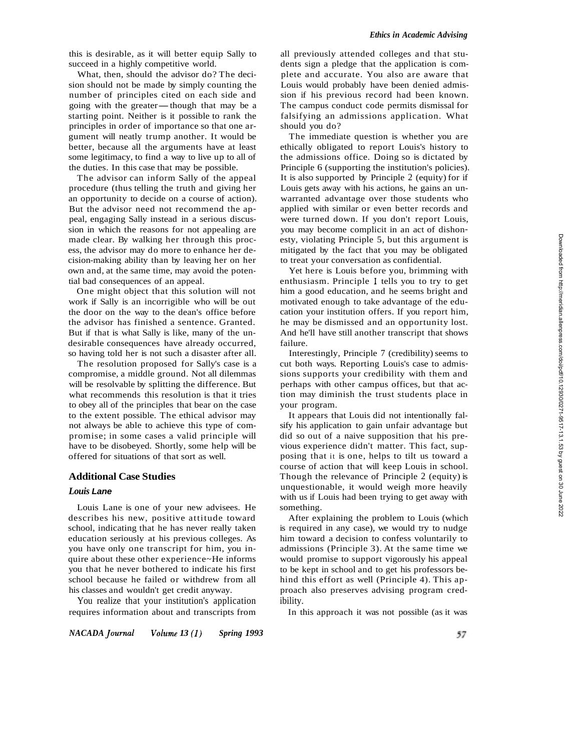this is desirable, as it will better equip Sally to succeed in a highly competitive world.

What, then, should the advisor do? The decision should not be made by simply counting the number of principles cited on each side and sion should not be made by simply counting the<br>number of principles cited on each side and<br>going with the greater—though that may be a<br>starting point. Neither is it possible to rank the starting point. Neither is it possible to rank the principles in order of importance so that one argument will neatly trump another. It would be better, because all the arguments have at least some legitimacy, to find a way to live up to all of the duties. In this case that may be possible.

The advisor can inform Sally of the appeal procedure (thus telling the truth and giving her an opportunity to decide on a course of action). But the advisor need not recommend the appeal, engaging Sally instead in a serious discussion in which the reasons for not appealing are made clear. By walking her through this process, the advisor may do more to enhance her decision-making ability than by leaving her on her own and, at the same time, may avoid the potential bad consequences of an appeal.

One might object that this solution will not work if Sally is an incorrigible who will be out the door on the way to the dean's office before the advisor has finished a sentence. Granted. But if that is what Sally is like, many of the undesirable consequences have already occurred, so having told her is not such a disaster after all.

The resolution proposed for Sally's case is a compromise, a middle ground. Not all dilemmas will be resolvable by splitting the difference. But what recommends this resolution is that it tries to obey all of the principles that bear on the case to the extent possible. The ethical advisor may not always be able to achieve this type of compromise; in some cases a valid principle will have to be disobeyed. Shortly, some help will be offered for situations of that sort as well.

#### **Additional Case Studies**

### *Louis* **Lane**

Louis Lane is one of your new advisees. He describes his new, positive attitude toward school, indicating that he has never really taken education seriously at his previous colleges. As you have only one transcript for him, you inquire about these other experience~He informs you that he never bothered to indicate his first school because he failed or withdrew from all his classes and wouldn't get credit anyway.

You realize that your institution's application requires information about and transcripts from

all previously attended colleges and that students sign a pledge that the application is complete and accurate. You also are aware that Louis would probably have been denied admission if his previous record had been known. The campus conduct code permits dismissal for falsifying an admissions application. What should you do?

The immediate question is whether you are ethically obligated to report Louis's history to the admissions office. Doing so is dictated by Principle 6 (supporting the institution's policies). It is also supported by Principle 2 (equity) for if Louis gets away with his actions, he gains an unwarranted advantage over those students who applied with similar or even better records and were turned down. If you don't report Louis, you may become complicit in an act of dishonesty, violating Principle 5, but this argument is mitigated by the fact that you may be obligated to treat your conversation as confidential.

Yet here is Louis before you, brimming with enthusiasm. Principle 1 tells you to try to get him a good education, and he seems bright and motivated enough to take advantage of the education your institution offers. If you report him, he may be dismissed and an opportunity lost. And he'll have still another transcript that shows failure.

Interestingly, Principle 7 (credibility) seems to cut both ways. Reporting Louis's case to admissions supports your credibility with them and perhaps with other campus offices, but that action may diminish the trust students place in your program.

It appears that Louis did not intentionally falsify his application to gain unfair advantage but did so out of a naive supposition that his previous experience didn't matter. This fact, supposing that it is one, helps to tilt us toward a course of action that will keep Louis in school. Though the relevance of Principle 2 (equity) is unquestionable, it would weigh more heavily with us if Louis had been trying to get away with something.

After explaining the problem to Louis (which is required in any case), we would try to nudge him toward a decision to confess voluntarily to admissions (Principle 3). At the same time we would promise to support vigorously his appeal to be kept in school and to get his professors behind this effort as well (Principle 4). This approach also preserves advising program credibility.

In this approach it was not possible (as it was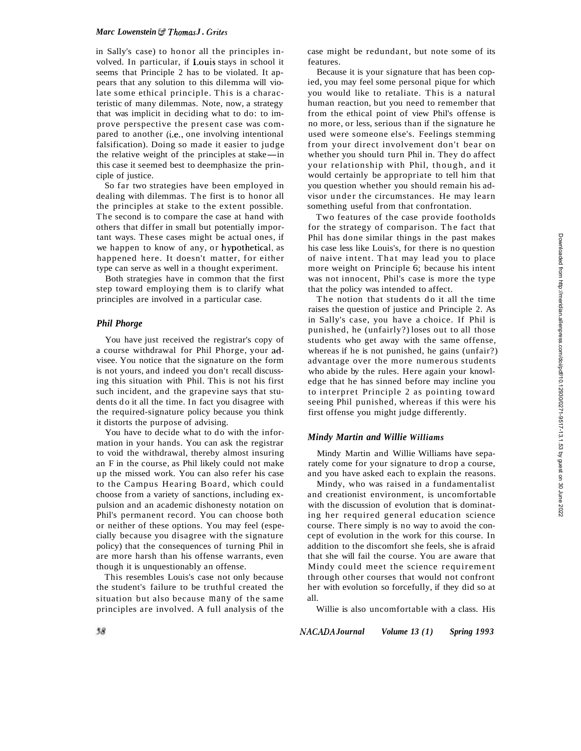in Sally's case) to honor all the principles involved. In particular, if I.ouis stays in school it seems that Principle 2 has to be violated. It appears that any solution to this dilemma will violate some ethical principle. This is a characteristic of many dilemmas. Note, now, a strategy that was implicit in deciding what to do: to improve perspective the present case was compared to another (i.e., one involving intentional falsification). Doing so made it easier to judge pared to another (i.e., one involving intentional<br>falsification). Doing so made it easier to judge<br>the relative weight of the principles at stake—in<br>this case it seemed best to deemphasize the prin this case it seemed best to deemphasize the principle of justice.

So far two strategies have been employed in dealing with dilemmas. The first is to honor all the principles at stake to the extent possible. The second is to compare the case at hand with others that differ in small but potentially important ways. These cases might be actual ones, if we happen to know of any, or hypothetical, as happened here. It doesn't matter, for either type can serve as well in a thought experiment.

Both strategies have in common that the first step toward employing them is to clarify what principles are involved in a particular case.

### *Phil Phorge*

You have just received the registrar's copy of a course withdrawal for Phil Phorge, your advisee. You notice that the signature on the form is not yours, and indeed you don't recall discussing this situation with Phil. This is not his first such incident, and the grapevine says that students do it all the time. In fact you disagree with the required-signature policy because you think it distorts the purpose of advising.

You have to decide what to do with the information in your hands. You can ask the registrar to void the withdrawal, thereby almost insuring an F in the course, as Phil likely could not make up the missed work. You can also refer his case to the Campus Hearing Board, which could choose from a variety of sanctions, including expulsion and an academic dishonesty notation on Phil's permanent record. You can choose both or neither of these options. You may feel (especially because you disagree with the signature policy) that the consequences of turning Phil in are more harsh than his offense warrants, even though it is unquestionably an offense.

This resembles Louis's case not only because the student's failure to be truthful created the situation but also because many of the same principles are involved. A full analysis of the case might be redundant, but note some of its features.

Because it is your signature that has been copied, you may feel some personal pique for which you would like to retaliate. This is a natural human reaction, but you need to remember that from the ethical point of view Phil's offense is no more, or less, serious than if the signature he used were someone else's. Feelings stemming from your direct involvement don't bear on whether you should turn Phil in. They do affect your relationship with Phil, though, and it would certainly be appropriate to tell him that you question whether you should remain his advisor under the circumstances. He may learn something useful from that confrontation.

Two features of the case provide footholds for the strategy of comparison. The fact that Phil has done similar things in the past makes his case less like Louis's, for there is no question of naive intent. That may lead you to place more weight on Principle 6; because his intent was not innocent, Phil's case is more the type that the policy was intended to affect.

The notion that students do it all the time raises the question of justice and Principle 2. As in Sally's case, you have a choice. If Phil is punished, he (unfairly?) loses out to all those students who get away with the same offense, whereas if he is not punished, he gains (unfair?) advantage over the more numerous students who abide by the rules. Here again your knowledge that he has sinned before may incline you to interpret Principle 2 as pointing toward seeing Phil punished, whereas if this were his first offense you might judge differently.

# *Mindy Martin and Willie Williams*

Mindy Martin and Willie Williams have separately come for your signature to drop a course, and you have asked each to explain the reasons.

Mindy, who was raised in a fundamentalist and creationist environment, is uncomfortable with the discussion of evolution that is dominating her required general education science course. There simply is no way to avoid the concept of evolution in the work for this course. In addition to the discomfort she feels, she is afraid that she will fail the course. You are aware that Mindy could meet the science requirement through other courses that would not confront her with evolution so forcefully, if they did so at all.

Willie is also uncomfortable with a class. His

*NACADA Journal Volume 13 (1) Spring 1993*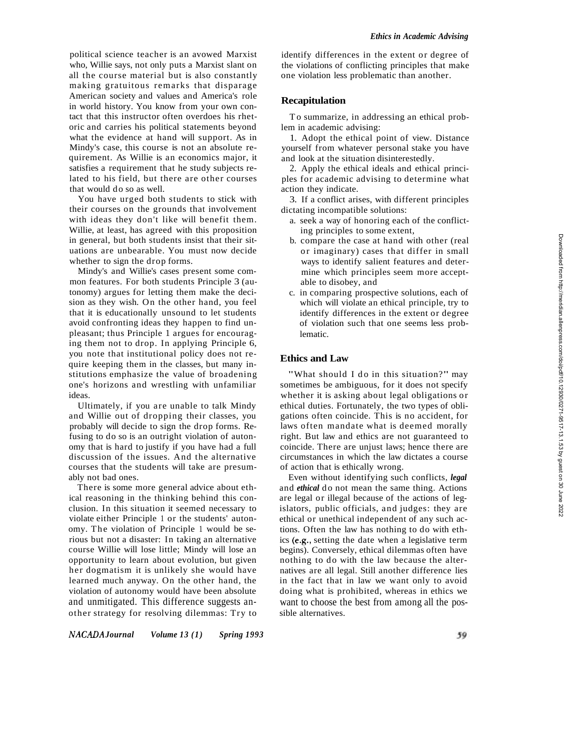political science teacher is an avowed Marxist who, Willie says, not only puts a Marxist slant on all the course material but is also constantly making gratuitous remarks that disparage American society and values and America's role in world history. You know from your own contact that this instructor often overdoes his rhetoric and carries his political statements beyond what the evidence at hand will support. As in Mindy's case, this course is not an absolute requirement. As Willie is an economics major, it satisfies a requirement that he study subjects related to his field, but there are other courses that would do so as well.

You have urged both students to stick with their courses on the grounds that involvement with ideas they don't like will benefit them. Willie, at least, has agreed with this proposition in general, but both students insist that their situations are unbearable. You must now decide whether to sign the drop forms.

Mindy's and Willie's cases present some common features. For both students Principle 3 (autonomy) argues for letting them make the decision as they wish. On the other hand, you feel that it is educationally unsound to let students avoid confronting ideas they happen to find unpleasant; thus Principle 1 argues for encouraging them not to drop. In applying Principle 6, you note that institutional policy does not require keeping them in the classes, but many institutions emphasize the value of broadening one's horizons and wrestling with unfamiliar ideas.

Ultimately, if you are unable to talk Mindy and Willie out of dropping their classes, you probably will decide to sign the drop forms. Refusing to do so is an outright violation of autonomy that is hard to justify if you have had a full discussion of the issues. And the alternative courses that the students will take are presumably not bad ones.

There is some more general advice about ethical reasoning in the thinking behind this conclusion. In this situation it seemed necessary to violate either Principle 1 or the students' autonomy. The violation of Principle 1 would be serious but not a disaster: In taking an alternative course Willie will lose little; Mindy will lose an opportunity to learn about evolution, but given her dogmatism it is unlikely she would have learned much anyway. On the other hand, the violation of autonomy would have been absolute and unmitigated. This difference suggests another strategy for resolving dilemmas: Try to identify differences in the extent or degree of the violations of conflicting principles that make one violation less problematic than another.

### **Recapitulation**

To summarize, in addressing an ethical problem in academic advising:

1. Adopt the ethical point of view. Distance yourself from whatever personal stake you have and look at the situation disinterestedly.

2. Apply the ethical ideals and ethical principles for academic advising to determine what action they indicate.

3. If a conflict arises, with different principles dictating incompatible solutions:

- a. seek a way of honoring each of the conflicting principles to some extent,
- b. compare the case at hand with other (real or imaginary) cases that differ in small ways to identify salient features and determine which principles seem more acceptable to disobey, and
- c. in comparing prospective solutions, each of which will violate an ethical principle, try to identify differences in the extent or degree of violation such that one seems less problematic.

### **Ethics and Law**

"What should I do in this situation?" may sometimes be ambiguous, for it does not specify whether it is asking about legal obligations or ethical duties. Fortunately, the two types of obligations often coincide. This is no accident, for laws often mandate what is deemed morally right. But law and ethics are not guaranteed to coincide. There are unjust laws; hence there are circumstances in which the law dictates a course of action that is ethically wrong.

Even without identifying such conflicts, *legal*  and *ethical* do not mean the same thing. Actions are legal or illegal because of the actions of legislators, public officials, and judges: they are ethical or unethical independent of any such actions. Often the law has nothing to do with ethics (e.g., setting the date when a legislative term begins). Conversely, ethical dilemmas often have nothing to do with the law because the alternatives are all legal. Still another difference lies in the fact that in law we want only to avoid doing what is prohibited, whereas in ethics we want to choose the best from among all the possible alternatives.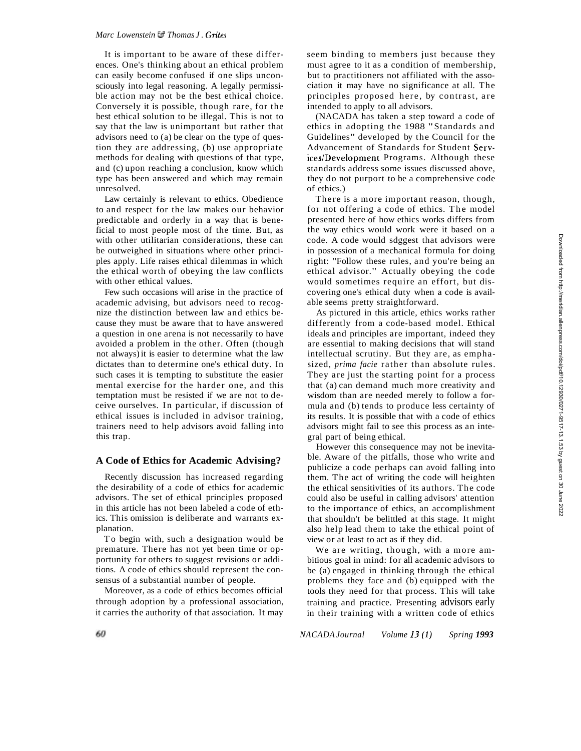#### *Marc Lowenstein U Thomas J. Grites*

It is important to be aware of these differences. One's thinking about an ethical problem can easily become confused if one slips unconsciously into legal reasoning. A legally permissible action may not be the best ethical choice. Conversely it is possible, though rare, for the best ethical solution to be illegal. This is not to say that the law is unimportant but rather that advisors need to (a) be clear on the type of question they are addressing, (b) use appropriate methods for dealing with questions of that type, and (c) upon reaching a conclusion, know which type has been answered and which may remain unresolved.

Law certainly is relevant to ethics. Obedience to and respect for the law makes our behavior predictable and orderly in a way that is beneficial to most people most of the time. But, as with other utilitarian considerations, these can be outweighed in situations where other principles apply. Life raises ethical dilemmas in which the ethical worth of obeying the law conflicts with other ethical values.

Few such occasions will arise in the practice of academic advising, but advisors need to recognize the distinction between law and ethics because they must be aware that to have answered a question in one arena is not necessarily to have avoided a problem in the other. Often (though not always) it is easier to determine what the law dictates than to determine one's ethical duty. In such cases it is tempting to substitute the easier mental exercise for the harder one, and this temptation must be resisted if we are not to deceive ourselves. In particular, if discussion of ethical issues is included in advisor training, trainers need to help advisors avoid falling into this trap.

#### **A Code of Ethics for Academic Advising?**

Recently discussion has increased regarding the desirability of a code of ethics for academic advisors. The set of ethical principles proposed in this article has not been labeled a code of ethics. This omission is deliberate and warrants explanation.

To begin with, such a designation would be premature. There has not yet been time or opportunity for others to suggest revisions or additions. A code of ethics should represent the consensus of a substantial number of people.

Moreover, as a code of ethics becomes official through adoption by a professional association, it carries the authority of that association. It may seem binding to members just because they must agree to it as a condition of membership, but to practitioners not affiliated with the association it may have no significance at all. The principles proposed here, by contrast, are intended to apply to all advisors.

(NACADA has taken a step toward a code of ethics in adopting the 1988 "Standards and Guidelines" developed by the Council for the Advancement of Standards for Student Services/Development Programs. Although these standards address some issues discussed above, they do not purport to be a comprehensive code of ethics.)

There is a more important reason, though, for not offering a code of ethics. The model presented here of how ethics works differs from the way ethics would work were it based on a code. A code would sdggest that advisors were in possession of a mechanical formula for doing right: "Follow these rules, and you're being an ethical advisor." Actually obeying the code would sometimes require an effort, but discovering one's ethical duty when a code is available seems pretty straightforward.

As pictured in this article, ethics works rather differently from a code-based model. Ethical ideals and principles are important, indeed they are essential to making decisions that will stand intellectual scrutiny. But they are, as emphasized, *prima facie* rather than absolute rules. They are just the starting point for a process that (a) can demand much more creativity and wisdom than are needed merely to follow a formula and (b) tends to produce less certainty of its results. It is possible that with a code of ethics advisors might fail to see this process as an integral part of being ethical.

However this consequence may not be inevitable. Aware of the pitfalls, those who write and publicize a code perhaps can avoid falling into them. The act of writing the code will heighten the ethical sensitivities of its authors. The code could also be useful in calling advisors' attention to the importance of ethics, an accomplishment that shouldn't be belittled at this stage. It might also help lead them to take the ethical point of view or at least to act as if they did.

We are writing, though, with a more ambitious goal in mind: for all academic advisors to be (a) engaged in thinking through the ethical problems they face and (b) equipped with the tools they need for that process. This will take training and practice. Presenting advisors early in their training with a written code of ethics